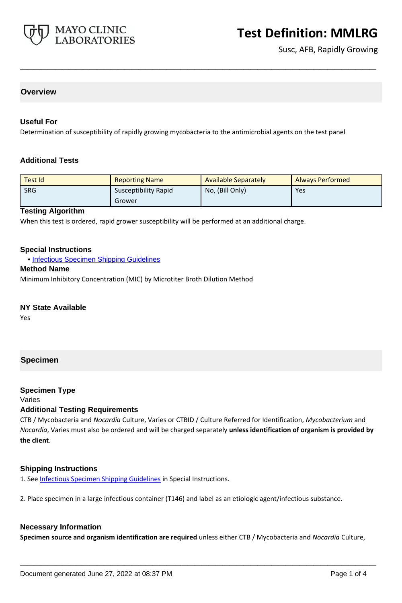

Susc, AFB, Rapidly Growing

## **Overview**

#### **Useful For**

Determination of susceptibility of rapidly growing mycobacteria to the antimicrobial agents on the test panel

#### **Additional Tests**

| Test Id    | <b>Reporting Name</b>       | <b>Available Separately</b> | <b>Always Performed</b> |
|------------|-----------------------------|-----------------------------|-------------------------|
| <b>SRG</b> | <b>Susceptibility Rapid</b> | No, (Bill Only)             | Yes                     |
|            | Grower                      |                             |                         |

**\_\_\_\_\_\_\_\_\_\_\_\_\_\_\_\_\_\_\_\_\_\_\_\_\_\_\_\_\_\_\_\_\_\_\_\_\_\_\_\_\_\_\_\_\_\_\_\_\_\_\_**

#### **Testing Algorithm**

When this test is ordered, rapid grower susceptibility will be performed at an additional charge.

#### **Special Instructions**

• [Infectious Specimen Shipping Guidelines](http://www.mayocliniclabs.com/it-mmfiles/Infectious_Specimen_Shipping_Guidelines.pdf)

#### **Method Name**

Minimum Inhibitory Concentration (MIC) by Microtiter Broth Dilution Method

#### **NY State Available**

Yes

### **Specimen**

### **Specimen Type**

#### Varies

#### **Additional Testing Requirements**

CTB / Mycobacteria and *Nocardia* Culture, Varies or CTBID / Culture Referred for Identification, *Mycobacterium* and *Nocardia*, Varies must also be ordered and will be charged separately **unless identification of organism is provided by the client**.

### **Shipping Instructions**

1. See [Infectious Specimen Shipping Guidelines](https://www.mayocliniclabs.com/it-mmfiles/Infectious_Specimen_Shipping_Guidelines.pdf) in Special Instructions.

2. Place specimen in a large infectious container (T146) and label as an etiologic agent/infectious substance.

#### **Necessary Information**

**Specimen source and organism identification are required** unless either CTB / Mycobacteria and *Nocardia* Culture,

**\_\_\_\_\_\_\_\_\_\_\_\_\_\_\_\_\_\_\_\_\_\_\_\_\_\_\_\_\_\_\_\_\_\_\_\_\_\_\_\_\_\_\_\_\_\_\_\_\_\_\_**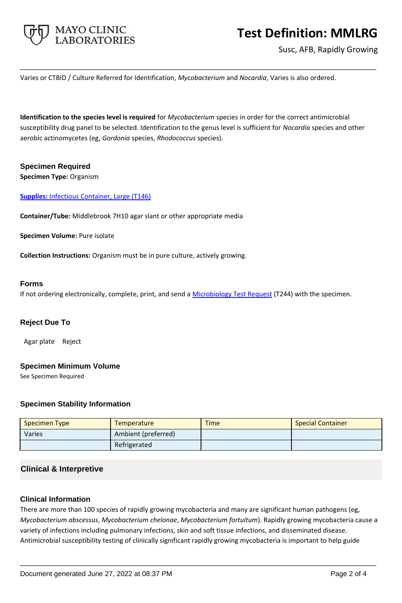

Susc, AFB, Rapidly Growing

Varies or CTBID / Culture Referred for Identification, *Mycobacterium* and *Nocardia*, Varies is also ordered.

**Identification to the species level is required** for *Mycobacterium* species in order for the correct antimicrobial susceptibility drug panel to be selected. Identification to the genus level is sufficient for *Nocardia* species and other aerobic actinomycetes (eg, *Gordonia* species, *Rhodococcus* species).

**\_\_\_\_\_\_\_\_\_\_\_\_\_\_\_\_\_\_\_\_\_\_\_\_\_\_\_\_\_\_\_\_\_\_\_\_\_\_\_\_\_\_\_\_\_\_\_\_\_\_\_**

### **Specimen Required Specimen Type:** Organism

**Supplies:** Infectious Container, Large (T146)

**Container/Tube:** Middlebrook 7H10 agar slant or other appropriate media

**Specimen Volume:** Pure isolate

**Collection Instructions:** Organism must be in pure culture, actively growing.

#### **Forms**

If not ordering electronically, complete, print, and send a [Microbiology Test Request](https://www.mayocliniclabs.com/it-mmfiles/Microbiology_Test_Request_Form.pdf) (T244) with the specimen.

## **Reject Due To**

Agar plate Reject

### **Specimen Minimum Volume**

See Specimen Required

### **Specimen Stability Information**

| <b>Specimen Type</b> | Temperature         | <b>Time</b> | <b>Special Container</b> |
|----------------------|---------------------|-------------|--------------------------|
| Varies               | Ambient (preferred) |             |                          |
|                      | Refrigerated        |             |                          |

## **Clinical & Interpretive**

### **Clinical Information**

There are more than 100 species of rapidly growing mycobacteria and many are significant human pathogens (eg, *Mycobacterium abscessus*, *Mycobacterium chelonae*, *Mycobacterium fortuitum*). Rapidly growing mycobacteria cause a variety of infections including pulmonary infections, skin and soft tissue infections, and disseminated disease. Antimicrobial susceptibility testing of clinically significant rapidly growing mycobacteria is important to help guide

**\_\_\_\_\_\_\_\_\_\_\_\_\_\_\_\_\_\_\_\_\_\_\_\_\_\_\_\_\_\_\_\_\_\_\_\_\_\_\_\_\_\_\_\_\_\_\_\_\_\_\_**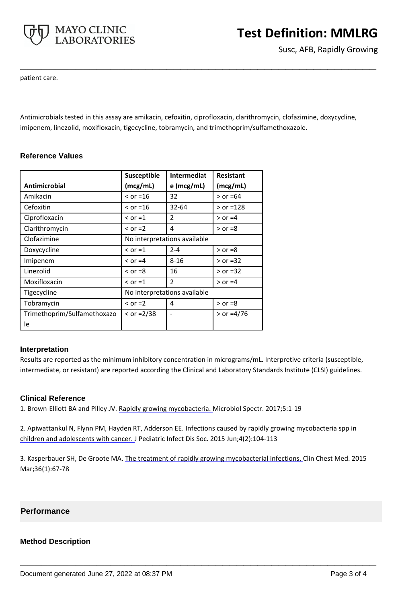

Susc, AFB, Rapidly Growing

patient care.

Antimicrobials tested in this assay are amikacin, cefoxitin, ciprofloxacin, clarithromycin, clofazimine, doxycycline, imipenem, linezolid, moxifloxacin, tigecycline, tobramycin, and trimethoprim/sulfamethoxazole.

**\_\_\_\_\_\_\_\_\_\_\_\_\_\_\_\_\_\_\_\_\_\_\_\_\_\_\_\_\_\_\_\_\_\_\_\_\_\_\_\_\_\_\_\_\_\_\_\_\_\_\_**

|                             | Susceptible                  | <b>Intermediat</b>           | <b>Resistant</b> |
|-----------------------------|------------------------------|------------------------------|------------------|
| Antimicrobial               | (mcg/mL)                     | $e$ (mcg/mL)                 | (mcg/mL)         |
| Amikacin                    | $\le$ or =16                 | 32                           | $>$ or =64       |
| Cefoxitin                   | $\le$ or =16                 | $32 - 64$                    | $>$ or =128      |
| Ciprofloxacin               | $\le$ or =1                  | $\mathfrak{p}$               | $>$ or $=$ 4     |
| Clarithromycin              | $\le$ or =2                  | 4                            | $>$ or =8        |
| Clofazimine                 | No interpretations available |                              |                  |
| Doxycycline                 | $\le$ or =1                  | $2 - 4$                      | $>$ or =8        |
| Imipenem                    | $\le$ or =4                  | $8 - 16$                     | $>$ or =32       |
| Linezolid                   | $\le$ or =8                  | 16                           | $>$ or =32       |
| Moxifloxacin                | $\le$ or =1                  | $\overline{2}$               | $>$ or $=4$      |
| Tigecycline                 |                              | No interpretations available |                  |
| Tobramycin                  | $\le$ or =2                  | 4                            | $>$ or =8        |
| Trimethoprim/Sulfamethoxazo | $<$ or =2/38                 |                              | $>$ or =4/76     |
| le                          |                              |                              |                  |

## **Reference Values**

### **Interpretation**

Results are reported as the minimum inhibitory concentration in micrograms/mL. Interpretive criteria (susceptible, intermediate, or resistant) are reported according the Clinical and Laboratory Standards Institute (CLSI) guidelines.

### **Clinical Reference**

1. Brown-Elliott BA and Pilley JV. Rapidly growing [mycobacteria.](https://pubmed.ncbi.nlm.nih.gov/28084211/?from_term=rapidly+growing+mycobacteria&from_pos=1) Microbiol Spectr. 2017;5:1-19

2. Apiwattankul N, Flynn PM, Hayden RT, Adderson EE. I[nfections caused by rapidly](https://pubmed.ncbi.nlm.nih.gov/26407409/?from_term=rapidly+growing+mycobacteria&from_pos=9) growing mycobacteria spp in [children and adolescents with cancer. J](https://pubmed.ncbi.nlm.nih.gov/26407409/?from_term=rapidly+growing+mycobacteria&from_pos=9) Pediatric Infect Dis Soc. 2015 Jun;4(2):104-113

3. Kasperbauer SH, De Groote MA. The treatment of rapidly [growing mycobacterial infections.](https://pubmed.ncbi.nlm.nih.gov/25676520/?from_term=rapidly+growing+mycobacteria&from_page=4&from_pos=4) Clin Chest Med. 2015 Mar;36(1):67-78

**\_\_\_\_\_\_\_\_\_\_\_\_\_\_\_\_\_\_\_\_\_\_\_\_\_\_\_\_\_\_\_\_\_\_\_\_\_\_\_\_\_\_\_\_\_\_\_\_\_\_\_**

### **Performance**

### **Method Description**